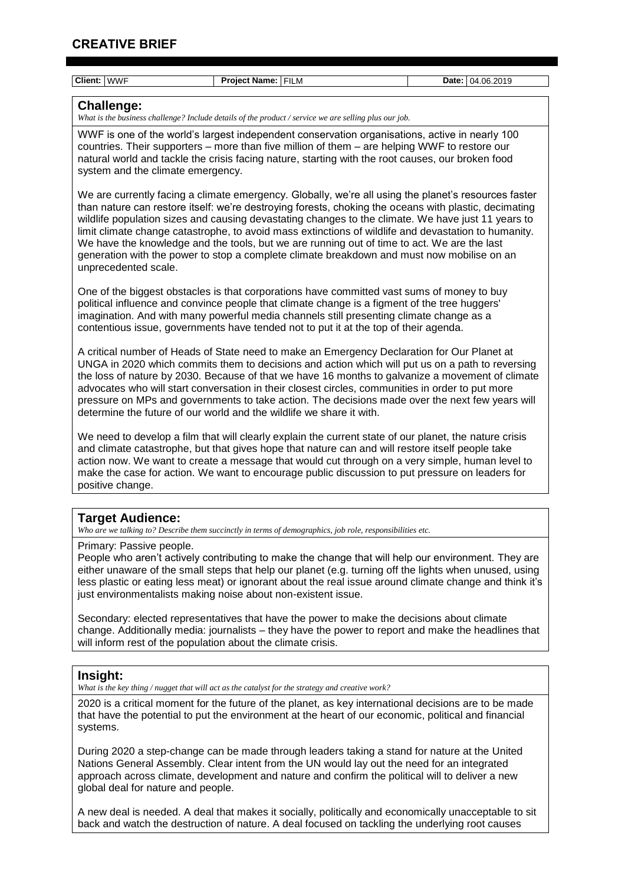systems.

| Client: WWF                                                                                                                                                                                                                                                                                                                                                                                                                                                                                                                                                                        | Project Name: FILM                                                                                                                                                                                                                                                                                                                                                                                                                                                                                                                                                                                                       | Date: 04.06.2019 |
|------------------------------------------------------------------------------------------------------------------------------------------------------------------------------------------------------------------------------------------------------------------------------------------------------------------------------------------------------------------------------------------------------------------------------------------------------------------------------------------------------------------------------------------------------------------------------------|--------------------------------------------------------------------------------------------------------------------------------------------------------------------------------------------------------------------------------------------------------------------------------------------------------------------------------------------------------------------------------------------------------------------------------------------------------------------------------------------------------------------------------------------------------------------------------------------------------------------------|------------------|
|                                                                                                                                                                                                                                                                                                                                                                                                                                                                                                                                                                                    |                                                                                                                                                                                                                                                                                                                                                                                                                                                                                                                                                                                                                          |                  |
| <b>Challenge:</b><br>What is the business challenge? Include details of the product / service we are selling plus our job.                                                                                                                                                                                                                                                                                                                                                                                                                                                         |                                                                                                                                                                                                                                                                                                                                                                                                                                                                                                                                                                                                                          |                  |
| system and the climate emergency.                                                                                                                                                                                                                                                                                                                                                                                                                                                                                                                                                  | WWF is one of the world's largest independent conservation organisations, active in nearly 100<br>countries. Their supporters – more than five million of them – are helping WWF to restore our<br>natural world and tackle the crisis facing nature, starting with the root causes, our broken food                                                                                                                                                                                                                                                                                                                     |                  |
| unprecedented scale.                                                                                                                                                                                                                                                                                                                                                                                                                                                                                                                                                               | We are currently facing a climate emergency. Globally, we're all using the planet's resources faster<br>than nature can restore itself: we're destroying forests, choking the oceans with plastic, decimating<br>wildlife population sizes and causing devastating changes to the climate. We have just 11 years to<br>limit climate change catastrophe, to avoid mass extinctions of wildlife and devastation to humanity.<br>We have the knowledge and the tools, but we are running out of time to act. We are the last<br>generation with the power to stop a complete climate breakdown and must now mobilise on an |                  |
| One of the biggest obstacles is that corporations have committed vast sums of money to buy<br>political influence and convince people that climate change is a figment of the tree huggers'<br>imagination. And with many powerful media channels still presenting climate change as a<br>contentious issue, governments have tended not to put it at the top of their agenda.                                                                                                                                                                                                     |                                                                                                                                                                                                                                                                                                                                                                                                                                                                                                                                                                                                                          |                  |
| A critical number of Heads of State need to make an Emergency Declaration for Our Planet at<br>UNGA in 2020 which commits them to decisions and action which will put us on a path to reversing<br>the loss of nature by 2030. Because of that we have 16 months to galvanize a movement of climate<br>advocates who will start conversation in their closest circles, communities in order to put more<br>pressure on MPs and governments to take action. The decisions made over the next few years will<br>determine the future of our world and the wildlife we share it with. |                                                                                                                                                                                                                                                                                                                                                                                                                                                                                                                                                                                                                          |                  |
| We need to develop a film that will clearly explain the current state of our planet, the nature crisis<br>and climate catastrophe, but that gives hope that nature can and will restore itself people take<br>action now. We want to create a message that would cut through on a very simple, human level to<br>make the case for action. We want to encourage public discussion to put pressure on leaders for<br>positive change.                                                                                                                                               |                                                                                                                                                                                                                                                                                                                                                                                                                                                                                                                                                                                                                          |                  |
| <b>Target Audience:</b>                                                                                                                                                                                                                                                                                                                                                                                                                                                                                                                                                            | Who are we talking to? Describe them succinctly in terms of demographics, job role, responsibilities etc.                                                                                                                                                                                                                                                                                                                                                                                                                                                                                                                |                  |
| Primary: Passive people.<br>People who aren't actively contributing to make the change that will help our environment. They are<br>either unaware of the small steps that help our planet (e.g. turning off the lights when unused, using<br>less plastic or eating less meat) or ignorant about the real issue around climate change and think it's<br>just environmentalists making noise about non-existent issue.                                                                                                                                                              |                                                                                                                                                                                                                                                                                                                                                                                                                                                                                                                                                                                                                          |                  |
| Secondary: elected representatives that have the power to make the decisions about climate<br>change. Additionally media: journalists – they have the power to report and make the headlines that<br>will inform rest of the population about the climate crisis.                                                                                                                                                                                                                                                                                                                  |                                                                                                                                                                                                                                                                                                                                                                                                                                                                                                                                                                                                                          |                  |
|                                                                                                                                                                                                                                                                                                                                                                                                                                                                                                                                                                                    |                                                                                                                                                                                                                                                                                                                                                                                                                                                                                                                                                                                                                          |                  |
| Insight:                                                                                                                                                                                                                                                                                                                                                                                                                                                                                                                                                                           | What is the key thing / nugget that will act as the catalyst for the strategy and creative work?                                                                                                                                                                                                                                                                                                                                                                                                                                                                                                                         |                  |
| 2020 is a critical moment for the future of the planet, as key international decisions are to be made<br>that have the potential to put the environment at the heart of our economic, political and financial                                                                                                                                                                                                                                                                                                                                                                      |                                                                                                                                                                                                                                                                                                                                                                                                                                                                                                                                                                                                                          |                  |

During 2020 a step-change can be made through leaders taking a stand for nature at the United Nations General Assembly. Clear intent from the UN would lay out the need for an integrated approach across climate, development and nature and confirm the political will to deliver a new global deal for nature and people.

A new deal is needed. A deal that makes it socially, politically and economically unacceptable to sit back and watch the destruction of nature. A deal focused on tackling the underlying root causes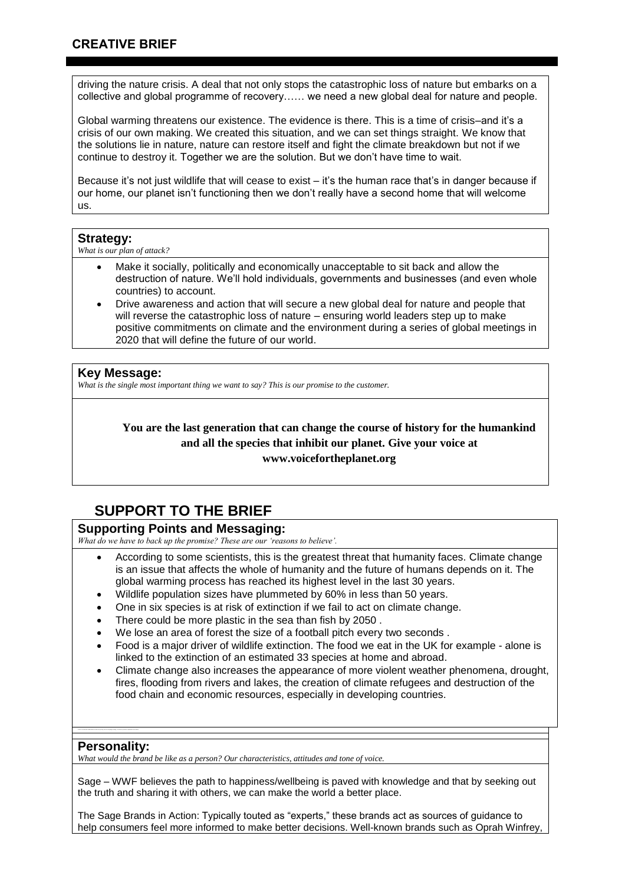driving the nature crisis. A deal that not only stops the catastrophic loss of nature but embarks on a collective and global programme of recovery…… we need a new global deal for nature and people.

Global warming threatens our existence. The evidence is there. This is a time of crisis–and it's a crisis of our own making. We created this situation, and we can set things straight. We know that the solutions lie in nature, nature can restore itself and fight the climate breakdown but not if we continue to destroy it. Together we are the solution. But we don't have time to wait.

Because it's not just wildlife that will cease to exist – it's the human race that's in danger because if our home, our planet isn't functioning then we don't really have a second home that will welcome us.

#### **Strategy:**

*What is our plan of attack?* 

- Make it socially, politically and economically unacceptable to sit back and allow the destruction of nature. We'll hold individuals, governments and businesses (and even whole countries) to account.
- Drive awareness and action that will secure a new global deal for nature and people that will reverse the catastrophic loss of nature – ensuring world leaders step up to make positive commitments on climate and the environment during a series of global meetings in 2020 that will define the future of our world.

### **Key Message:**

*What is the single most important thing we want to say? This is our promise to the customer.*

## **You are the last generation that can change the course of history for the humankind and all the species that inhibit our planet. Give your voice at www.voicefortheplanet.org**

# **SUPPORT TO THE BRIEF**

## **Supporting Points and Messaging:**

*What do we have to back up the promise? These are our 'reasons to believe'.*

- According to some scientists, this is the greatest threat that humanity faces. Climate change is an issue that affects the whole of humanity and the future of humans depends on it. The global warming process has reached its highest level in the last 30 years.
- Wildlife population sizes have plummeted by 60% in less than 50 years.
- One in six species is at risk of extinction if we fail to act on climate change.
- There could be more plastic in the sea than fish by 2050 .
- We lose an area of forest the size of a football pitch every two seconds .
- Food is a major driver of wildlife extinction. The food we eat in the UK for example alone is linked to the extinction of an estimated 33 species at home and abroad.
- Climate change also increases the appearance of more violent weather phenomena, drought, fires, flooding from rivers and lakes, the creation of climate refugees and destruction of the food chain and economic resources, especially in developing countries.

## **Personality:**

*What would the brand be like as a person? Our characteristics, attitudes and tone of voice.*

Sage – WWF believes the path to happiness/wellbeing is paved with knowledge and that by seeking out the truth and sharing it with others, we can make the world a better place.

The Sage Brands in Action: Typically touted as "experts," these brands act as sources of guidance to help consumers feel more informed to make better decisions. Well-known brands such as Oprah Winfrey,